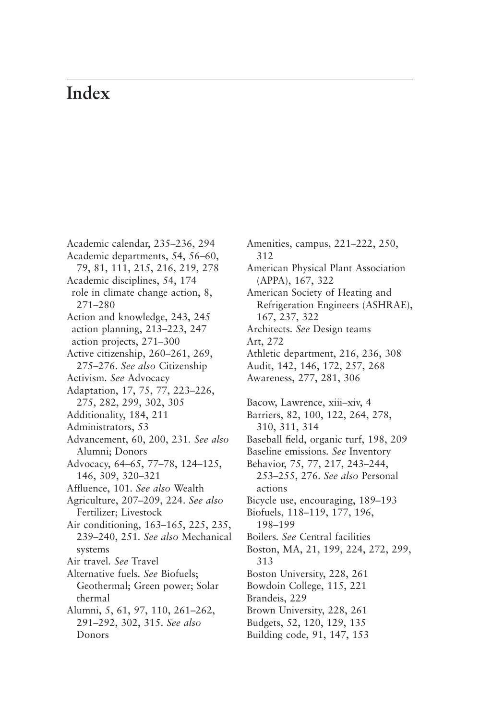## **Index**

Academic calendar, 235–236, 294 Academic departments, 54, 56–60, 79, 81, 111, 215, 216, 219, 278 Academic disciplines, 54, 174 role in climate change action, 8, 271–280 Action and knowledge, 243, 245 action planning, 213–223, 247 action projects, 271–300 Active citizenship, 260–261, 269, 275–276. *See also* Citizenship Activism*. See* Advocacy Adaptation, 17, 75, 77, 223–226, 275, 282, 299, 302, 305 Additionality, 184, 211 Administrators, 53 Advancement, 60, 200, 231*. See also* Alumni; Donors Advocacy, 64–65, 77–78, 124–125, 146, 309, 320–321 Affluence, 101*. See also* Wealth Agriculture, 207–209, 224. *See also* Fertilizer; Livestock Air conditioning, 163–165, 225, 235, 239–240, 251*. See also* Mechanical systems Air travel*. See* Travel Alternative fuels*. See* Biofuels; Geothermal; Green power; Solar thermal Alumni, 5, 61, 97, 110, 261–262, 291–292, 302, 315. *See also* Donors

Amenities, campus, 221–222, 250, 312 American Physical Plant Association (APPA), 167, 322 American Society of Heating and Refrigeration Engineers (ASHRAE), 167, 237, 322 Architects*. See* Design teams Art, 272 Athletic department, 216, 236, 308 Audit, 142, 146, 172, 257, 268 Awareness, 277, 281, 306 Bacow, Lawrence, xiii–xiv, 4 Barriers, 82, 100, 122, 264, 278, 310, 311, 314 Baseball field, organic turf, 198, 209 Baseline emissions*. See* Inventory Behavior, 75, 77, 217, 243–244, 253–255, 276. *See also* Personal actions Bicycle use, encouraging, 189–193 Biofuels, 118–119, 177, 196, 198–199 Boilers*. See* Central facilities Boston, MA, 21, 199, 224, 272, 299, 313 Boston University, 228, 261 Bowdoin College, 115, 221 Brandeis, 229 Brown University, 228, 261 Budgets, 52, 120, 129, 135 Building code, 91, 147, 153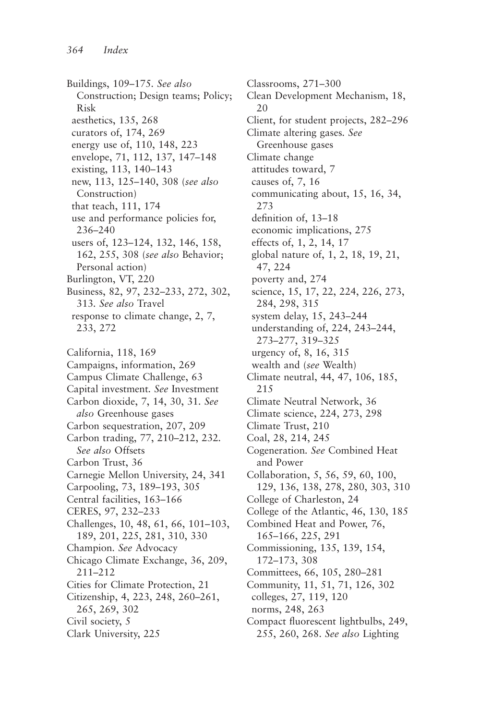Buildings, 109–175*. See also* Construction; Design teams; Policy; Risk aesthetics, 135, 268 curators of, 174, 269 energy use of, 110, 148, 223 envelope, 71, 112, 137, 147–148 existing, 113, 140–143 new, 113, 125–140, 308 (*see also* Construction) that teach, 111, 174 use and performance policies for, 236–240 users of, 123–124, 132, 146, 158, 162, 255, 308 (*see also* Behavior; Personal action) Burlington, VT, 220 Business, 82, 97, 232–233, 272, 302, 313*. See also* Travel response to climate change, 2, 7, 233, 272 California, 118, 169

Campaigns, information, 269 Campus Climate Challenge, 63 Capital investment*. See* Investment Carbon dioxide, 7, 14, 30, 31*. See also* Greenhouse gases Carbon sequestration, 207, 209 Carbon trading, 77, 210–212, 232*. See also* Offsets Carbon Trust, 36 Carnegie Mellon University, 24, 341 Carpooling, 73, 189–193, 305 Central facilities, 163–166 CERES, 97, 232–233 Challenges, 10, 48, 61, 66, 101–103, 189, 201, 225, 281, 310, 330 Champion*. See* Advocacy Chicago Climate Exchange, 36, 209, 211–212 Cities for Climate Protection, 21 Citizenship, 4, 223, 248, 260–261, 265, 269, 302 Civil society, 5 Clark University, 225

Classrooms, 271–300 Clean Development Mechanism, 18, 20 Client, for student projects, 282–296 Climate altering gases*. See* Greenhouse gases Climate change attitudes toward, 7 causes of, 7, 16 communicating about, 15, 16, 34, 273 definition of, 13–18 economic implications, 275 effects of, 1, 2, 14, 17 global nature of, 1, 2, 18, 19, 21, 47, 224 poverty and, 274 science, 15, 17, 22, 224, 226, 273, 284, 298, 315 system delay, 15, 243–244 understanding of, 224, 243–244, 273–277, 319–325 urgency of, 8, 16, 315 wealth and (*see* Wealth) Climate neutral, 44, 47, 106, 185, 215 Climate Neutral Network, 36 Climate science, 224, 273, 298 Climate Trust, 210 Coal, 28, 214, 245 Cogeneration*. See* Combined Heat and Power Collaboration, 5, 56, 59, 60, 100, 129, 136, 138, 278, 280, 303, 310 College of Charleston, 24 College of the Atlantic, 46, 130, 185 Combined Heat and Power, 76, 165–166, 225, 291 Commissioning, 135, 139, 154, 172–173, 308 Committees, 66, 105, 280–281 Community, 11, 51, 71, 126, 302 colleges, 27, 119, 120 norms, 248, 263 Compact fluorescent lightbulbs, 249, 255, 260, 268. *See also* Lighting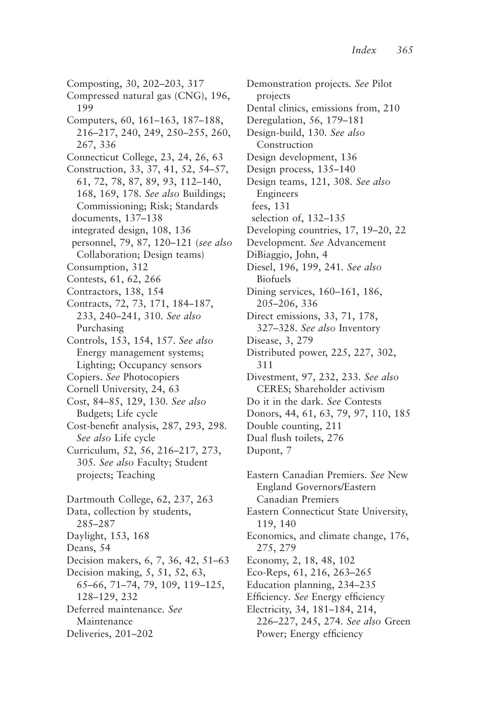Composting, 30, 202–203, 317 Compressed natural gas (CNG), 196, 199 Computers, 60, 161–163, 187–188, 216–217, 240, 249, 250–255, 260, 267, 336 Connecticut College, 23, 24, 26, 63 Construction, 33, 37, 41, 52, 54–57, 61, 72, 78, 87, 89, 93, 112–140, 168, 169, 178*. See also* Buildings; Commissioning; Risk; Standards documents, 137–138 integrated design, 108, 136 personnel, 79, 87, 120–121 (*see also* Collaboration; Design teams) Consumption, 312 Contests, 61, 62, 266 Contractors, 138, 154 Contracts, 72, 73, 171, 184–187, 233, 240–241, 310*. See also* Purchasing Controls, 153, 154, 157. *See also* Energy management systems; Lighting; Occupancy sensors Copiers. *See* Photocopiers Cornell University, 24, 63 Cost, 84–85, 129, 130*. See also* Budgets; Life cycle Cost-benefit analysis, 287, 293, 298*. See also* Life cycle Curriculum, 52, 56, 216–217, 273, 305*. See also* Faculty; Student projects; Teaching Dartmouth College, 62, 237, 263 Data, collection by students, 285–287 Daylight, 153, 168 Deans, 54 Decision makers, 6, 7, 36, 42, 51–63 Decision making, 5, 51, 52, 63, 65–66, 71–74, 79, 109, 119–125, 128–129, 232 Deferred maintenance*. See* Maintenance Deliveries, 201–202

Demonstration projects*. See* Pilot projects Dental clinics, emissions from, 210 Deregulation, 56, 179–181 Design-build, 130*. See also* Construction Design development, 136 Design process, 135–140 Design teams, 121, 308*. See also* Engineers fees, 131 selection of, 132–135 Developing countries, 17, 19–20, 22 Development*. See* Advancement DiBiaggio, John, 4 Diesel, 196, 199, 241*. See also* Biofuels Dining services, 160–161, 186, 205–206, 336 Direct emissions, 33, 71, 178, 327–328*. See also* Inventory Disease, 3, 279 Distributed power, 225, 227, 302, 311 Divestment, 97, 232, 233*. See also* CERES; Shareholder activism Do it in the dark*. See* Contests Donors, 44, 61, 63, 79, 97, 110, 185 Double counting, 211 Dual flush toilets, 276 Dupont, 7 Eastern Canadian Premiers. *See* New England Governors/Eastern Canadian Premiers Eastern Connecticut State University, 119, 140 Economics, and climate change, 176, 275, 279 Economy, 2, 18, 48, 102 Eco-Reps, 61, 216, 263–265 Education planning, 234–235 Efficiency*. See* Energy efficiency

Electricity, 34, 181–184, 214, 226–227, 245, 274*. See also* Green Power; Energy efficiency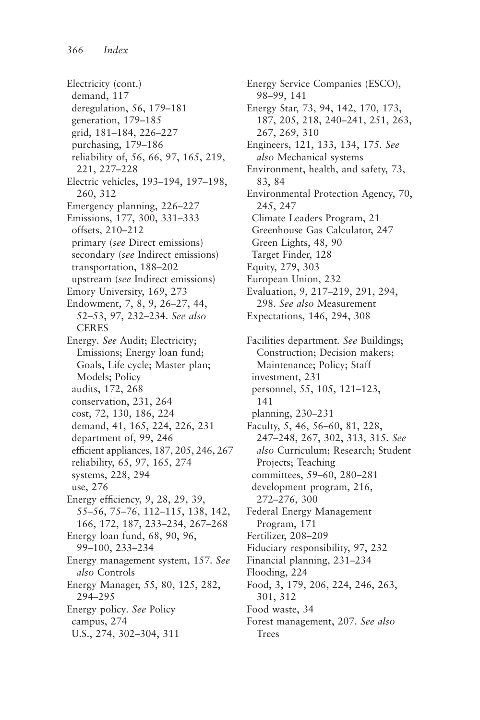Electricity (cont.) demand, 117 deregulation, 56, 179–181 generation, 179–185 grid, 181–184, 226–227 purchasing, 179–186 reliability of, 56, 66, 97, 165, 219, 221, 227–228 Electric vehicles, 193–194, 197–198, 260, 312 Emergency planning, 226–227 Emissions, 177, 300, 331–333 offsets, 210–212 primary (*see* Direct emissions) secondary (*see* Indirect emissions) transportation, 188–202 upstream (*see* Indirect emissions) Emory University, 169, 273 Endowment, 7, 8, 9, 26–27, 44, 52–53, 97, 232–234*. See also* CERES Energy*. See* Audit; Electricity; Emissions; Energy loan fund; Goals, Life cycle; Master plan; Models; Policy audits, 172, 268 conservation, 231, 264 cost, 72, 130, 186, 224 demand, 41, 165, 224, 226, 231 department of, 99, 246 efficient appliances, 187, 205, 246, 267 reliability, 65, 97, 165, 274 systems, 228, 294 use, 276 Energy efficiency, 9, 28, 29, 39, 55–56, 75–76, 112–115, 138, 142, 166, 172, 187, 233–234, 267–268 Energy loan fund, 68, 90, 96, 99–100, 233–234 Energy management system, 157*. See also* Controls Energy Manager, 55, 80, 125, 282, 294–295 Energy policy*. See* Policy campus, 274 U.S., 274, 302–304, 311

Energy Service Companies (ESCO), 98–99, 141 Energy Star, 73, 94, 142, 170, 173, 187, 205, 218, 240–241, 251, 263, 267, 269, 310 Engineers, 121, 133, 134, 175*. See also* Mechanical systems Environment, health, and safety, 73, 83, 84 Environmental Protection Agency, 70, 245, 247 Climate Leaders Program, 21 Greenhouse Gas Calculator, 247 Green Lights, 48, 90 Target Finder, 128 Equity, 279, 303 European Union, 232 Evaluation, 9, 217–219, 291, 294, 298. *See also* Measurement Expectations, 146, 294, 308 Facilities department*. See* Buildings; Construction; Decision makers; Maintenance; Policy; Staff investment, 231 personnel, 55, 105, 121–123, 141

planning, 230–231

Faculty, 5, 46, 56–60, 81, 228, 247–248, 267, 302, 313, 315*. See also* Curriculum; Research; Student Projects; Teaching committees, 59–60, 280–281 development program, 216, 272–276, 300 Federal Energy Management

Program, 171

Fertilizer, 208–209

Fiduciary responsibility, 97, 232

Financial planning, 231–234

Flooding, 224

Food, 3, 179, 206, 224, 246, 263, 301, 312

Food waste, 34

Forest management, 207. *See also* Trees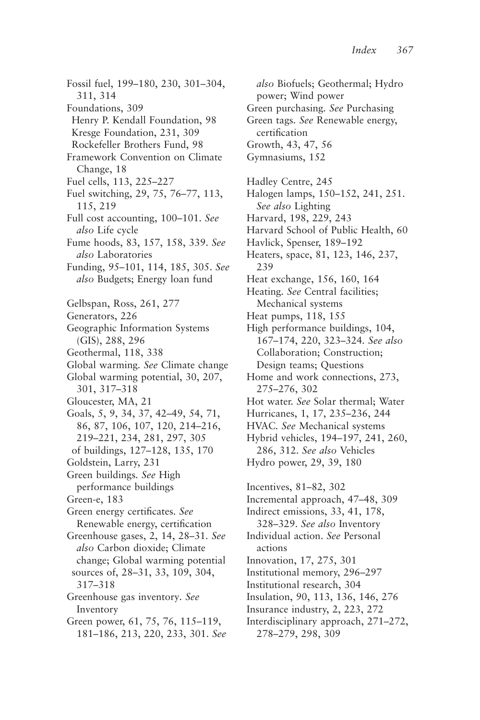Fossil fuel, 199–180, 230, 301–304, 311, 314 Foundations, 309 Henry P. Kendall Foundation, 98 Kresge Foundation, 231, 309 Rockefeller Brothers Fund, 98 Framework Convention on Climate Change, 18 Fuel cells, 113, 225–227 Fuel switching, 29, 75, 76–77, 113, 115, 219 Full cost accounting, 100–101. *See also* Life cycle Fume hoods, 83, 157, 158, 339. *See also* Laboratories Funding, 95–101, 114, 185, 305. *See also* Budgets; Energy loan fund Gelbspan, Ross, 261, 277 Generators, 226 Geographic Information Systems (GIS), 288, 296 Geothermal, 118, 338 Global warming*. See* Climate change Global warming potential, 30, 207, 301, 317–318 Gloucester, MA, 21 Goals, 5, 9, 34, 37, 42–49, 54, 71, 86, 87, 106, 107, 120, 214–216, 219–221, 234, 281, 297, 305 of buildings, 127–128, 135, 170 Goldstein, Larry, 231 Green buildings*. See* High performance buildings Green-e, 183 Green energy certificates*. See* Renewable energy, certification Greenhouse gases, 2, 14, 28–31*. See also* Carbon dioxide; Climate change; Global warming potential sources of, 28–31, 33, 109, 304, 317–318 Greenhouse gas inventory*. See* Inventory Green power, 61, 75, 76, 115–119, 181–186, 213, 220, 233, 301. *See*

*also* Biofuels; Geothermal; Hydro power; Wind power Green purchasing*. See* Purchasing Green tags*. See* Renewable energy, certification Growth, 43, 47, 56 Gymnasiums, 152 Hadley Centre, 245 Halogen lamps, 150–152, 241, 251. *See also* Lighting Harvard, 198, 229, 243 Harvard School of Public Health, 60 Havlick, Spenser, 189–192 Heaters, space, 81, 123, 146, 237, 239 Heat exchange, 156, 160, 164 Heating*. See* Central facilities; Mechanical systems Heat pumps, 118, 155 High performance buildings, 104, 167–174, 220, 323–324*. See also* Collaboration; Construction; Design teams; Questions Home and work connections, 273, 275–276, 302 Hot water. *See* Solar thermal; Water Hurricanes, 1, 17, 235–236, 244 HVAC*. See* Mechanical systems Hybrid vehicles, 194–197, 241, 260, 286, 312. *See also* Vehicles Hydro power, 29, 39, 180 Incentives, 81–82, 302 Incremental approach, 47–48, 309 Indirect emissions, 33, 41, 178, 328–329. *See also* Inventory Individual action. *See* Personal actions Innovation, 17, 275, 301 Institutional memory, 296–297 Institutional research, 304 Insulation, 90, 113, 136, 146, 276 Insurance industry, 2, 223, 272 Interdisciplinary approach, 271–272, 278–279, 298, 309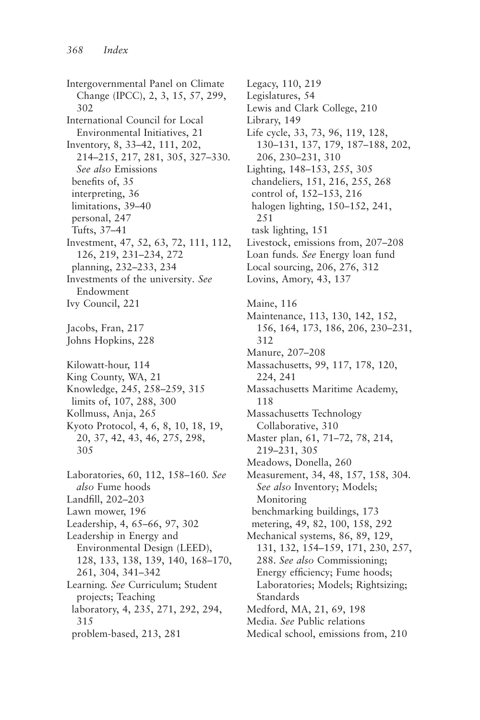Intergovernmental Panel on Climate Change (IPCC), 2, 3, 15, 57, 299, 302 International Council for Local Environmental Initiatives, 21 Inventory, 8, 33–42, 111, 202, 214–215, 217, 281, 305, 327–330*. See also* Emissions benefits of, 35 interpreting, 36 limitations, 39–40 personal, 247 Tufts, 37–41 Investment, 47, 52, 63, 72, 111, 112, 126, 219, 231–234, 272 planning, 232–233, 234 Investments of the university*. See* Endowment Ivy Council, 221 Jacobs, Fran, 217 Johns Hopkins, 228 Kilowatt-hour, 114 King County, WA, 21 Knowledge, 245, 258–259, 315 limits of, 107, 288, 300 Kollmuss, Anja, 265 Kyoto Protocol, 4, 6, 8, 10, 18, 19, 20, 37, 42, 43, 46, 275, 298, 305 Laboratories, 60, 112, 158–160*. See also* Fume hoods Landfill, 202–203 Lawn mower, 196 Leadership, 4, 65–66, 97, 302 Leadership in Energy and Environmental Design (LEED), 128, 133, 138, 139, 140, 168–170, 261, 304, 341–342 Learning*. See* Curriculum; Student projects; Teaching laboratory, 4, 235, 271, 292, 294, 315 problem-based, 213, 281

Legacy, 110, 219 Legislatures, 54 Lewis and Clark College, 210 Library, 149 Life cycle, 33, 73, 96, 119, 128, 130–131, 137, 179, 187–188, 202, 206, 230–231, 310 Lighting, 148–153, 255, 305 chandeliers, 151, 216, 255, 268 control of, 152–153, 216 halogen lighting, 150–152, 241, 251 task lighting, 151 Livestock, emissions from, 207–208 Loan funds*. See* Energy loan fund Local sourcing, 206, 276, 312 Lovins, Amory, 43, 137 Maine, 116 Maintenance, 113, 130, 142, 152, 156, 164, 173, 186, 206, 230–231, 312 Manure, 207–208 Massachusetts, 99, 117, 178, 120, 224, 241 Massachusetts Maritime Academy, 118 Massachusetts Technology Collaborative, 310 Master plan, 61, 71–72, 78, 214, 219–231, 305 Meadows, Donella, 260 Measurement, 34, 48, 157, 158, 304*. See also* Inventory; Models; Monitoring benchmarking buildings, 173 metering, 49, 82, 100, 158, 292 Mechanical systems, 86, 89, 129, 131, 132, 154–159, 171, 230, 257, 288. *See also* Commissioning; Energy efficiency; Fume hoods; Laboratories; Models; Rightsizing; Standards Medford, MA, 21, 69, 198 Media*. See* Public relations Medical school, emissions from, 210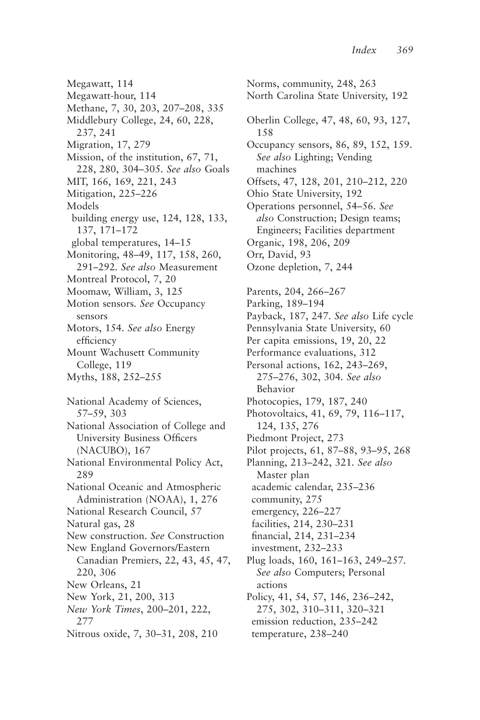Megawatt, 114 Megawatt-hour, 114 Methane, 7, 30, 203, 207–208, 335 Middlebury College, 24, 60, 228, 237, 241 Migration, 17, 279 Mission, of the institution, 67, 71, 228, 280, 304–305*. See also* Goals MIT, 166, 169, 221, 243 Mitigation, 225–226 Models building energy use, 124, 128, 133, 137, 171–172 global temperatures, 14–15 Monitoring, 48–49, 117, 158, 260, 291–292*. See also* Measurement Montreal Protocol, 7, 20 Moomaw, William, 3, 125 Motion sensors*. See* Occupancy sensors Motors, 154*. See also* Energy efficiency Mount Wachusett Community College, 119 Myths, 188, 252–255 National Academy of Sciences, 57–59, 303 National Association of College and University Business Officers (NACUBO), 167 National Environmental Policy Act, 289 National Oceanic and Atmospheric Administration (NOAA), 1, 276 National Research Council, 57 Natural gas, 28 New construction. *See* Construction New England Governors/Eastern Canadian Premiers, 22, 43, 45, 47, 220, 306 New Orleans, 21 New York, 21, 200, 313 *New York Times*, 200–201, 222, 277 Nitrous oxide, 7, 30–31, 208, 210

Norms, community, 248, 263 North Carolina State University, 192 Oberlin College, 47, 48, 60, 93, 127, 158 Occupancy sensors, 86, 89, 152, 159. *See also* Lighting; Vending machines Offsets, 47, 128, 201, 210–212, 220 Ohio State University, 192 Operations personnel, 54–56*. See also* Construction; Design teams; Engineers; Facilities department Organic, 198, 206, 209 Orr, David, 93 Ozone depletion, 7, 244 Parents, 204, 266–267 Parking, 189–194 Payback, 187, 247. *See also* Life cycle Pennsylvania State University, 60 Per capita emissions, 19, 20, 22 Performance evaluations, 312 Personal actions, 162, 243–269, 275–276, 302, 304*. See also* Behavior Photocopies, 179, 187, 240 Photovoltaics, 41, 69, 79, 116–117, 124, 135, 276 Piedmont Project, 273 Pilot projects, 61, 87–88, 93–95, 268 Planning, 213–242, 321*. See also* Master plan academic calendar, 235–236 community, 275 emergency, 226–227 facilities, 214, 230–231 financial, 214, 231–234 investment, 232–233 Plug loads, 160, 161–163, 249–257*. See also* Computers; Personal actions Policy, 41, 54, 57, 146, 236–242, 275, 302, 310–311, 320–321 emission reduction, 235–242 temperature, 238–240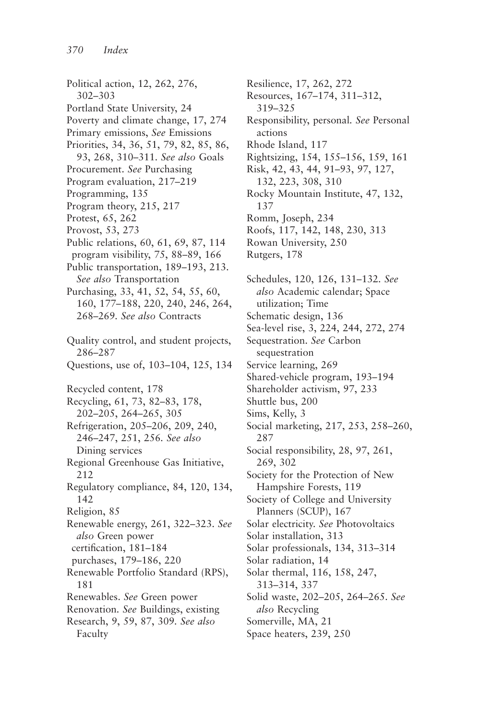Political action, 12, 262, 276, 302–303 Portland State University, 24 Poverty and climate change, 17, 274 Primary emissions, *See* Emissions Priorities, 34, 36, 51, 79, 82, 85, 86, 93, 268, 310–311*. See also* Goals Procurement. *See* Purchasing Program evaluation, 217–219 Programming, 135 Program theory, 215, 217 Protest, 65, 262 Provost, 53, 273 Public relations, 60, 61, 69, 87, 114 program visibility, 75, 88–89, 166 Public transportation, 189–193, 213. *See also* Transportation Purchasing, 33, 41, 52, 54, 55, 60, 160, 177–188, 220, 240, 246, 264, 268–269*. See also* Contracts Quality control, and student projects, 286–287 Questions, use of, 103–104, 125, 134 Recycled content, 178 Recycling, 61, 73, 82–83, 178, 202–205, 264–265, 305 Refrigeration, 205–206, 209, 240, 246–247, 251, 256*. See also* Dining services Regional Greenhouse Gas Initiative, 212 Regulatory compliance, 84, 120, 134, 142 Religion, 85 Renewable energy, 261, 322–323. *See also* Green power certification, 181–184 purchases, 179–186, 220 Renewable Portfolio Standard (RPS), 181 Renewables. *See* Green power Renovation*. See* Buildings, existing Research, 9, 59, 87, 309*. See also* Faculty

Resilience, 17, 262, 272 Resources, 167–174, 311–312, 319–325 Responsibility, personal*. See* Personal actions Rhode Island, 117 Rightsizing, 154, 155–156, 159, 161 Risk, 42, 43, 44, 91–93, 97, 127, 132, 223, 308, 310 Rocky Mountain Institute, 47, 132, 137 Romm, Joseph, 234 Roofs, 117, 142, 148, 230, 313 Rowan University, 250 Rutgers, 178 Schedules, 120, 126, 131–132*. See also* Academic calendar; Space utilization; Time Schematic design, 136 Sea-level rise, 3, 224, 244, 272, 274 Sequestration. *See* Carbon sequestration Service learning, 269 Shared-vehicle program, 193–194 Shareholder activism, 97, 233 Shuttle bus, 200 Sims, Kelly, 3 Social marketing, 217, 253, 258–260, 287 Social responsibility, 28, 97, 261, 269, 302 Society for the Protection of New Hampshire Forests, 119 Society of College and University Planners (SCUP), 167 Solar electricity. *See* Photovoltaics Solar installation, 313 Solar professionals, 134, 313–314 Solar radiation, 14 Solar thermal, 116, 158, 247, 313–314, 337 Solid waste, 202–205, 264–265. *See also* Recycling Somerville, MA, 21 Space heaters, 239, 250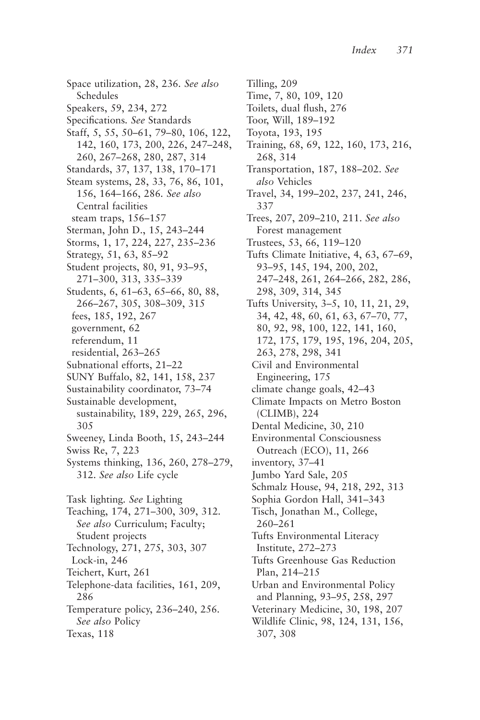Space utilization, 28, 236*. See also* Schedules Speakers, 59, 234, 272 Specifications*. See* Standards Staff, 5, 55, 50–61, 79–80, 106, 122, 142, 160, 173, 200, 226, 247–248, 260, 267–268, 280, 287, 314 Standards, 37, 137, 138, 170–171 Steam systems, 28, 33, 76, 86, 101, 156, 164–166, 286*. See also* Central facilities steam traps, 156–157 Sterman, John D., 15, 243–244 Storms, 1, 17, 224, 227, 235–236 Strategy, 51, 63, 85–92 Student projects, 80, 91, 93–95, 271–300, 313, 335–339 Students, 6, 61–63, 65–66, 80, 88, 266–267, 305, 308–309, 315 fees, 185, 192, 267 government, 62 referendum, 11 residential, 263–265 Subnational efforts, 21–22 SUNY Buffalo, 82, 141, 158, 237 Sustainability coordinator, 73–74 Sustainable development, sustainability, 189, 229, 265, 296, 305 Sweeney, Linda Booth, 15, 243–244 Swiss Re, 7, 223 Systems thinking, 136, 260, 278–279, 312. *See also* Life cycle Task lighting*. See* Lighting Teaching, 174, 271–300, 309, 312*. See also* Curriculum; Faculty; Student projects Technology, 271, 275, 303, 307 Lock-in, 246 Teichert, Kurt, 261 Telephone-data facilities, 161, 209, 286 Temperature policy, 236–240, 256*. See also* Policy Texas, 118

Tilling, 209 Time, 7, 80, 109, 120 Toilets, dual flush, 276 Toor, Will, 189–192 Toyota, 193, 195 Training, 68, 69, 122, 160, 173, 216, 268, 314 Transportation, 187, 188–202. *See also* Vehicles Travel, 34, 199–202, 237, 241, 246, 337 Trees, 207, 209–210, 211. *See also* Forest management Trustees, 53, 66, 119–120 Tufts Climate Initiative, 4, 63, 67–69, 93–95, 145, 194, 200, 202, 247–248, 261, 264–266, 282, 286, 298, 309, 314, 345 Tufts University, 3–5, 10, 11, 21, 29, 34, 42, 48, 60, 61, 63, 67–70, 77, 80, 92, 98, 100, 122, 141, 160, 172, 175, 179, 195, 196, 204, 205, 263, 278, 298, 341 Civil and Environmental Engineering, 175 climate change goals, 42–43 Climate Impacts on Metro Boston (CLIMB), 224 Dental Medicine, 30, 210 Environmental Consciousness Outreach (ECO), 11, 266 inventory, 37–41 Jumbo Yard Sale, 205 Schmalz House, 94, 218, 292, 313 Sophia Gordon Hall, 341–343 Tisch, Jonathan M., College, 260–261 Tufts Environmental Literacy Institute, 272–273 Tufts Greenhouse Gas Reduction Plan, 214–215 Urban and Environmental Policy and Planning, 93–95, 258, 297 Veterinary Medicine, 30, 198, 207 Wildlife Clinic, 98, 124, 131, 156, 307, 308